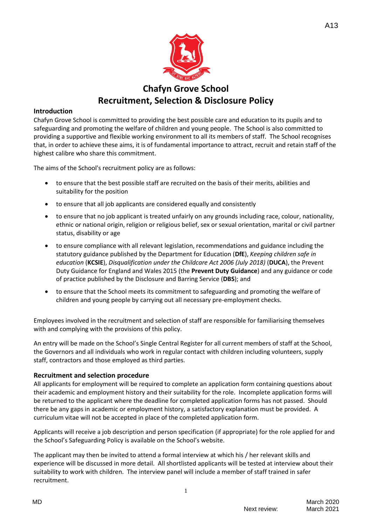

## **Introduction**

Chafyn Grove School is committed to providing the best possible care and education to its pupils and to safeguarding and promoting the welfare of children and young people. The School is also committed to providing a supportive and flexible working environment to all its members of staff. The School recognises that, in order to achieve these aims, it is of fundamental importance to attract, recruit and retain staff of the highest calibre who share this commitment.

The aims of the School's recruitment policy are as follows:

- to ensure that the best possible staff are recruited on the basis of their merits, abilities and suitability for the position
- to ensure that all job applicants are considered equally and consistently
- to ensure that no job applicant is treated unfairly on any grounds including race, colour, nationality, ethnic or national origin, religion or religious belief, sex or sexual orientation, marital or civil partner status, disability or age
- to ensure compliance with all relevant legislation, recommendations and guidance including the statutory guidance published by the Department for Education (**DfE**), *Keeping children safe in education* (**KCSIE**), *Disqualification under the Childcare Act 2006 (July 2018)* (**DUCA**), the Prevent Duty Guidance for England and Wales 2015 (the **Prevent Duty Guidance**) and any guidance or code of practice published by the Disclosure and Barring Service (**DBS**); and
- to ensure that the School meets its commitment to safeguarding and promoting the welfare of children and young people by carrying out all necessary pre-employment checks.

Employees involved in the recruitment and selection of staff are responsible for familiarising themselves with and complying with the provisions of this policy.

An entry will be made on the School's Single Central Register for all current members of staff at the School, the Governors and all individuals who work in regular contact with children including volunteers, supply staff, contractors and those employed as third parties.

#### **Recruitment and selection procedure**

All applicants for employment will be required to complete an application form containing questions about their academic and employment history and their suitability for the role. Incomplete application forms will be returned to the applicant where the deadline for completed application forms has not passed. Should there be any gaps in academic or employment history, a satisfactory explanation must be provided. A curriculum vitae will not be accepted in place of the completed application form.

Applicants will receive a job description and person specification (if appropriate) for the role applied for and the School's Safeguarding Policy is available on the School's website.

The applicant may then be invited to attend a formal interview at which his / her relevant skills and experience will be discussed in more detail. All shortlisted applicants will be tested at interview about their suitability to work with children. The interview panel will include a member of staff trained in safer recruitment.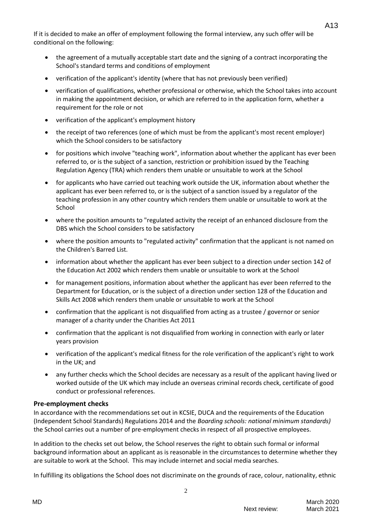If it is decided to make an offer of employment following the formal interview, any such offer will be conditional on the following:

- the agreement of a mutually acceptable start date and the signing of a contract incorporating the School's standard terms and conditions of employment
- verification of the applicant's identity (where that has not previously been verified)
- verification of qualifications, whether professional or otherwise, which the School takes into account in making the appointment decision, or which are referred to in the application form, whether a requirement for the role or not
- verification of the applicant's employment history
- the receipt of two references (one of which must be from the applicant's most recent employer) which the School considers to be satisfactory
- for positions which involve "teaching work", information about whether the applicant has ever been referred to, or is the subject of a sanction, restriction or prohibition issued by the Teaching Regulation Agency (TRA) which renders them unable or unsuitable to work at the School
- for applicants who have carried out teaching work outside the UK, information about whether the applicant has ever been referred to, or is the subject of a sanction issued by a regulator of the teaching profession in any other country which renders them unable or unsuitable to work at the School
- where the position amounts to "regulated activity the receipt of an enhanced disclosure from the DBS which the School considers to be satisfactory
- where the position amounts to "regulated activity" confirmation that the applicant is not named on the Children's Barred List.
- information about whether the applicant has ever been subject to a direction under section 142 of the Education Act 2002 which renders them unable or unsuitable to work at the School
- for management positions, information about whether the applicant has ever been referred to the Department for Education, or is the subject of a direction under section 128 of the Education and Skills Act 2008 which renders them unable or unsuitable to work at the School
- confirmation that the applicant is not disqualified from acting as a trustee / governor or senior manager of a charity under the Charities Act 2011
- confirmation that the applicant is not disqualified from working in connection with early or later years provision
- verification of the applicant's medical fitness for the role verification of the applicant's right to work in the UK; and
- any further checks which the School decides are necessary as a result of the applicant having lived or worked outside of the UK which may include an overseas criminal records check, certificate of good conduct or professional references.

## **Pre-employment checks**

In accordance with the recommendations set out in KCSIE, DUCA and the requirements of the Education (Independent School Standards) Regulations 2014 and the *Boarding schools: national minimum standards)* the School carries out a number of pre-employment checks in respect of all prospective employees.

In addition to the checks set out below, the School reserves the right to obtain such formal or informal background information about an applicant as is reasonable in the circumstances to determine whether they are suitable to work at the School. This may include internet and social media searches.

In fulfilling its obligations the School does not discriminate on the grounds of race, colour, nationality, ethnic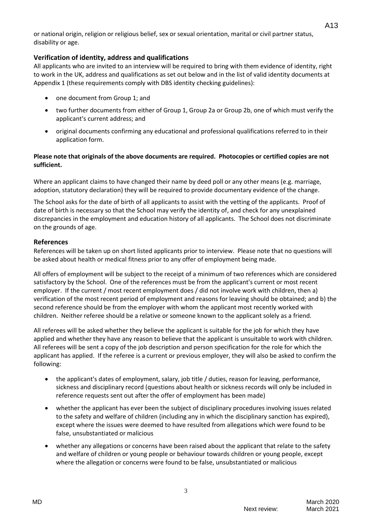or national origin, religion or religious belief, sex or sexual orientation, marital or civil partner status, disability or age.

## **Verification of identity, address and qualifications**

All applicants who are invited to an interview will be required to bring with them evidence of identity, right to work in the UK, address and qualifications as set out below and in the list of valid identity documents at Appendix 1 (these requirements comply with DBS identity checking guidelines):

- one document from Group 1; and
- two further documents from either of Group 1, Group 2a or Group 2b, one of which must verify the applicant's current address; and
- original documents confirming any educational and professional qualifications referred to in their application form.

## **Please note that originals of the above documents are required. Photocopies or certified copies are not sufficient.**

Where an applicant claims to have changed their name by deed poll or any other means (e.g. marriage, adoption, statutory declaration) they will be required to provide documentary evidence of the change.

The School asks for the date of birth of all applicants to assist with the vetting of the applicants. Proof of date of birth is necessary so that the School may verify the identity of, and check for any unexplained discrepancies in the employment and education history of all applicants. The School does not discriminate on the grounds of age.

## **References**

References will be taken up on short listed applicants prior to interview. Please note that no questions will be asked about health or medical fitness prior to any offer of employment being made.

All offers of employment will be subject to the receipt of a minimum of two references which are considered satisfactory by the School. One of the references must be from the applicant's current or most recent employer. If the current / most recent employment does / did not involve work with children, then a) verification of the most recent period of employment and reasons for leaving should be obtained; and b) the second reference should be from the employer with whom the applicant most recently worked with children. Neither referee should be a relative or someone known to the applicant solely as a friend.

All referees will be asked whether they believe the applicant is suitable for the job for which they have applied and whether they have any reason to believe that the applicant is unsuitable to work with children. All referees will be sent a copy of the job description and person specification for the role for which the applicant has applied. If the referee is a current or previous employer, they will also be asked to confirm the following:

- the applicant's dates of employment, salary, job title / duties, reason for leaving, performance, sickness and disciplinary record (questions about health or sickness records will only be included in reference requests sent out after the offer of employment has been made)
- whether the applicant has ever been the subject of disciplinary procedures involving issues related to the safety and welfare of children (including any in which the disciplinary sanction has expired), except where the issues were deemed to have resulted from allegations which were found to be false, unsubstantiated or malicious
- whether any allegations or concerns have been raised about the applicant that relate to the safety and welfare of children or young people or behaviour towards children or young people, except where the allegation or concerns were found to be false, unsubstantiated or malicious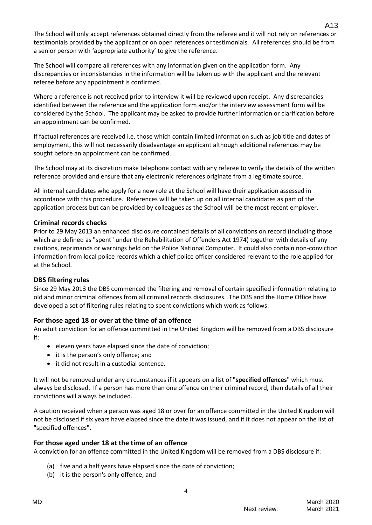The School will only accept references obtained directly from the referee and it will not rely on references or testimonials provided by the applicant or on open references or testimonials. All references should be from a senior person with 'appropriate authority' to give the reference.

The School will compare all references with any information given on the application form. Any discrepancies or inconsistencies in the information will be taken up with the applicant and the relevant referee before any appointment is confirmed.

Where a reference is not received prior to interview it will be reviewed upon receipt. Any discrepancies identified between the reference and the application form and/or the interview assessment form will be considered by the School. The applicant may be asked to provide further information or clarification before an appointment can be confirmed.

If factual references are received i.e. those which contain limited information such as job title and dates of employment, this will not necessarily disadvantage an applicant although additional references may be sought before an appointment can be confirmed.

The School may at its discretion make telephone contact with any referee to verify the details of the written reference provided and ensure that any electronic references originate from a legitimate source.

All internal candidates who apply for a new role at the School will have their application assessed in accordance with this procedure. References will be taken up on all internal candidates as part of the application process but can be provided by colleagues as the School will be the most recent employer.

## **Criminal records checks**

Prior to 29 May 2013 an enhanced disclosure contained details of all convictions on record (including those which are defined as "spent" under the Rehabilitation of Offenders Act 1974) together with details of any cautions, reprimands or warnings held on the Police National Computer. It could also contain non-conviction information from local police records which a chief police officer considered relevant to the role applied for at the School.

## **DBS filtering rules**

Since 29 May 2013 the DBS commenced the filtering and removal of certain specified information relating to old and minor criminal offences from all criminal records disclosures. The DBS and the Home Office have developed a set of filtering rules relating to spent convictions which work as follows:

# **For those aged 18 or over at the time of an offence**

An adult conviction for an offence committed in the United Kingdom will be removed from a DBS disclosure if:

- eleven years have elapsed since the date of conviction;
- it is the person's only offence; and
- it did not result in a custodial sentence.

It will not be removed under any circumstances if it appears on a list of "**specified offences**" which must always be disclosed. If a person has more than one offence on their criminal record, then details of all their convictions will always be included.

A caution received when a person was aged 18 or over for an offence committed in the United Kingdom will not be disclosed if six years have elapsed since the date it was issued, and if it does not appear on the list of "specified offences".

## **For those aged under 18 at the time of an offence**

A conviction for an offence committed in the United Kingdom will be removed from a DBS disclosure if:

- (a) five and a half years have elapsed since the date of conviction;
- (b) it is the person's only offence; and

A13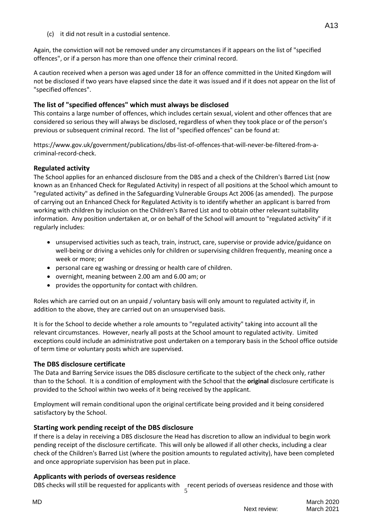(c) it did not result in a custodial sentence.

Again, the conviction will not be removed under any circumstances if it appears on the list of "specified offences", or if a person has more than one offence their criminal record.

A caution received when a person was aged under 18 for an offence committed in the United Kingdom will not be disclosed if two years have elapsed since the date it was issued and if it does not appear on the list of "specified offences".

# **The list of "specified offences" which must always be disclosed**

This contains a large number of offences, which includes certain sexual, violent and other offences that are considered so serious they will always be disclosed, regardless of when they took place or of the person's previous or subsequent criminal record. The list of "specified offences" can be found at:

[https://www.gov.uk/government/publications/dbs-list-of-offences-that-will-never-be-f](https://www.gov.uk/government/publications/dbs-list-of-offences-that-will-never-be-)iltered-from-acriminal-record-check.

# **Regulated activity**

The School applies for an enhanced disclosure from the DBS and a check of the Children's Barred List (now known as an Enhanced Check for Regulated Activity) in respect of all positions at the School which amount to "regulated activity" as defined in the Safeguarding Vulnerable Groups Act 2006 (as amended). The purpose of carrying out an Enhanced Check for Regulated Activity is to identify whether an applicant is barred from working with children by inclusion on the Children's Barred List and to obtain other relevant suitability information. Any position undertaken at, or on behalf of the School will amount to "regulated activity" if it regularly includes:

- unsupervised activities such as teach, train, instruct, care, supervise or provide advice/guidance on well-being or driving a vehicles only for children or supervising children frequently, meaning once a week or more; or
- personal care eg washing or dressing or health care of children.
- overnight, meaning between 2.00 am and 6.00 am; or
- provides the opportunity for contact with children.

Roles which are carried out on an unpaid / voluntary basis will only amount to regulated activity if, in addition to the above, they are carried out on an unsupervised basis.

It is for the School to decide whether a role amounts to "regulated activity" taking into account all the relevant circumstances. However, nearly all posts at the School amount to regulated activity. Limited exceptions could include an administrative post undertaken on a temporary basis in the School office outside of term time or voluntary posts which are supervised.

# **The DBS disclosure certificate**

The Data and Barring Service issues the DBS disclosure certificate to the subject of the check only, rather than to the School. It is a condition of employment with the School that the **original** disclosure certificate is provided to the School within two weeks of it being received by the applicant.

Employment will remain conditional upon the original certificate being provided and it being considered satisfactory by the School.

# **Starting work pending receipt of the DBS disclosure**

If there is a delay in receiving a DBS disclosure the Head has discretion to allow an individual to begin work pending receipt of the disclosure certificate. This will only be allowed if all other checks, including a clear check of the Children's Barred List (where the position amounts to regulated activity), have been completed and once appropriate supervision has been put in place.

# **Applicants with periods of overseas residence**

5 DBS checks will still be requested for applicants with recent periods of overseas residence and those with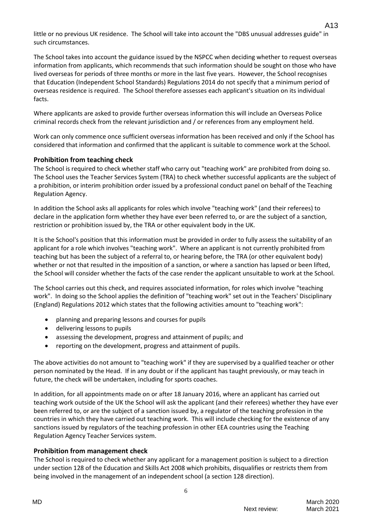little or no previous UK residence. The School will take into account the "DBS unusual addresses guide" in such circumstances.

The School takes into account the guidance issued by the NSPCC when deciding whether to request overseas information from applicants, which recommends that such information should be sought on those who have lived overseas for periods of three months or more in the last five years. However, the School recognises that Education (Independent School Standards) Regulations 2014 do not specify that a minimum period of overseas residence is required. The School therefore assesses each applicant's situation on its individual facts.

Where applicants are asked to provide further overseas information this will include an Overseas Police criminal records check from the relevant jurisdiction and / or references from any employment held.

Work can only commence once sufficient overseas information has been received and only if the School has considered that information and confirmed that the applicant is suitable to commence work at the School.

## **Prohibition from teaching check**

The School is required to check whether staff who carry out "teaching work" are prohibited from doing so. The School uses the Teacher Services System (TRA) to check whether successful applicants are the subject of a prohibition, or interim prohibition order issued by a professional conduct panel on behalf of the Teaching Regulation Agency.

In addition the School asks all applicants for roles which involve "teaching work" (and their referees) to declare in the application form whether they have ever been referred to, or are the subject of a sanction, restriction or prohibition issued by, the TRA or other equivalent body in the UK.

It is the School's position that this information must be provided in order to fully assess the suitability of an applicant for a role which involves "teaching work". Where an applicant is not currently prohibited from teaching but has been the subject of a referral to, or hearing before, the TRA (or other equivalent body) whether or not that resulted in the imposition of a sanction, or where a sanction has lapsed or been lifted, the School will consider whether the facts of the case render the applicant unsuitable to work at the School.

The School carries out this check, and requires associated information, for roles which involve "teaching work". In doing so the School applies the definition of "teaching work" set out in the Teachers' Disciplinary (England) Regulations 2012 which states that the following activities amount to "teaching work":

- planning and preparing lessons and courses for pupils
- delivering lessons to pupils
- assessing the development, progress and attainment of pupils; and
- reporting on the development, progress and attainment of pupils.

The above activities do not amount to "teaching work" if they are supervised by a qualified teacher or other person nominated by the Head. If in any doubt or if the applicant has taught previously, or may teach in future, the check will be undertaken, including for sports coaches.

In addition, for all appointments made on or after 18 January 2016, where an applicant has carried out teaching work outside of the UK the School will ask the applicant (and their referees) whether they have ever been referred to, or are the subject of a sanction issued by, a regulator of the teaching profession in the countries in which they have carried out teaching work. This will include checking for the existence of any sanctions issued by regulators of the teaching profession in other EEA countries using the Teaching Regulation Agency Teacher Services system.

## **Prohibition from management check**

The School is required to check whether any applicant for a management position is subject to a direction under section 128 of the Education and Skills Act 2008 which prohibits, disqualifies or restricts them from being involved in the management of an independent school (a section 128 direction).

6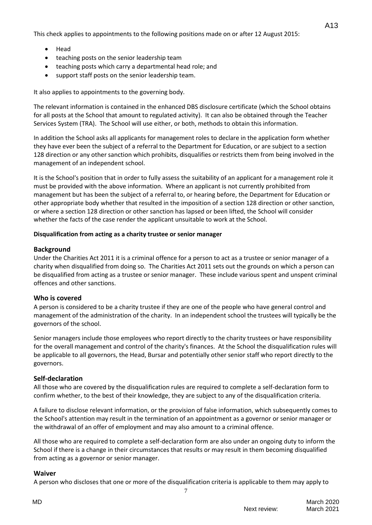This check applies to appointments to the following positions made on or after 12 August 2015:

- Head
- teaching posts on the senior leadership team
- teaching posts which carry a departmental head role; and
- support staff posts on the senior leadership team.

It also applies to appointments to the governing body.

The relevant information is contained in the enhanced DBS disclosure certificate (which the School obtains for all posts at the School that amount to regulated activity). It can also be obtained through the Teacher Services System (TRA). The School will use either, or both, methods to obtain this information.

In addition the School asks all applicants for management roles to declare in the application form whether they have ever been the subject of a referral to the Department for Education, or are subject to a section 128 direction or any other sanction which prohibits, disqualifies or restricts them from being involved in the management of an independent school.

It is the School's position that in order to fully assess the suitability of an applicant for a management role it must be provided with the above information. Where an applicant is not currently prohibited from management but has been the subject of a referral to, or hearing before, the Department for Education or other appropriate body whether that resulted in the imposition of a section 128 direction or other sanction, or where a section 128 direction or other sanction has lapsed or been lifted, the School will consider whether the facts of the case render the applicant unsuitable to work at the School.

# **Disqualification from acting as a charity trustee or senior manager**

# **Background**

Under the Charities Act 2011 it is a criminal offence for a person to act as a trustee or senior manager of a charity when disqualified from doing so. The Charities Act 2011 sets out the grounds on which a person can be disqualified from acting as a trustee or senior manager. These include various spent and unspent criminal offences and other sanctions.

# **Who is covered**

A person is considered to be a charity trustee if they are one of the people who have general control and management of the administration of the charity. In an independent school the trustees will typically be the governors of the school.

Senior managers include those employees who report directly to the charity trustees or have responsibility for the overall management and control of the charity's finances. At the School the disqualification rules will be applicable to all governors, the Head, Bursar and potentially other senior staff who report directly to the governors.

# **Self-declaration**

All those who are covered by the disqualification rules are required to complete a self-declaration form to confirm whether, to the best of their knowledge, they are subject to any of the disqualification criteria.

A failure to disclose relevant information, or the provision of false information, which subsequently comes to the School's attention may result in the termination of an appointment as a governor or senior manager or the withdrawal of an offer of employment and may also amount to a criminal offence.

All those who are required to complete a self-declaration form are also under an ongoing duty to inform the School if there is a change in their circumstances that results or may result in them becoming disqualified from acting as a governor or senior manager.

# **Waiver**

A person who discloses that one or more of the disqualification criteria is applicable to them may apply to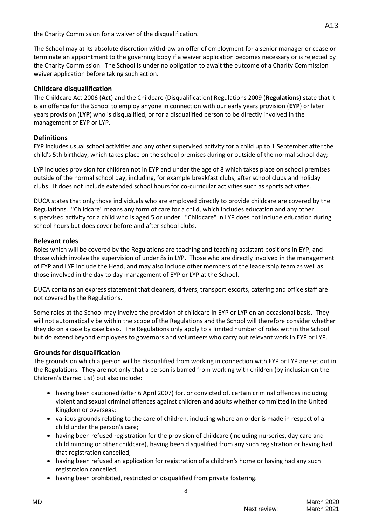the Charity Commission for a waiver of the disqualification.

The School may at its absolute discretion withdraw an offer of employment for a senior manager or cease or terminate an appointment to the governing body if a waiver application becomes necessary or is rejected by the Charity Commission. The School is under no obligation to await the outcome of a Charity Commission waiver application before taking such action.

## **Childcare disqualification**

The Childcare Act 2006 (**Act**) and the Childcare (Disqualification) Regulations 2009 (**Regulations**) state that it is an offence for the School to employ anyone in connection with our early years provision (**EYP**) or later years provision (**LYP**) who is disqualified, or for a disqualified person to be directly involved in the management of EYP or LYP.

## **Definitions**

EYP includes usual school activities and any other supervised activity for a child up to 1 September after the child's 5th birthday, which takes place on the school premises during or outside of the normal school day;

LYP includes provision for children not in EYP and under the age of 8 which takes place on school premises outside of the normal school day, including, for example breakfast clubs, after school clubs and holiday clubs. It does not include extended school hours for co-curricular activities such as sports activities.

DUCA states that only those individuals who are employed directly to provide childcare are covered by the Regulations. "Childcare" means any form of care for a child, which includes education and any other supervised activity for a child who is aged 5 or under. "Childcare" in LYP does not include education during school hours but does cover before and after school clubs.

## **Relevant roles**

Roles which will be covered by the Regulations are teaching and teaching assistant positions in EYP, and those which involve the supervision of under 8s in LYP. Those who are directly involved in the management of EYP and LYP include the Head, and may also include other members of the leadership team as well as those involved in the day to day management of EYP or LYP at the School.

DUCA contains an express statement that cleaners, drivers, transport escorts, catering and office staff are not covered by the Regulations.

Some roles at the School may involve the provision of childcare in EYP or LYP on an occasional basis. They will not automatically be within the scope of the Regulations and the School will therefore consider whether they do on a case by case basis. The Regulations only apply to a limited number of roles within the School but do extend beyond employees to governors and volunteers who carry out relevant work in EYP or LYP.

# **Grounds for disqualification**

The grounds on which a person will be disqualified from working in connection with EYP or LYP are set out in the Regulations. They are not only that a person is barred from working with children (by inclusion on the Children's Barred List) but also include:

- having been cautioned (after 6 April 2007) for, or convicted of, certain criminal offences including violent and sexual criminal offences against children and adults whether committed in the United Kingdom or overseas;
- various grounds relating to the care of children, including where an order is made in respect of a child under the person's care;
- having been refused registration for the provision of childcare (including nurseries, day care and child minding or other childcare), having been disqualified from any such registration or having had that registration cancelled;
- having been refused an application for registration of a children's home or having had any such registration cancelled;
- having been prohibited, restricted or disqualified from private fostering.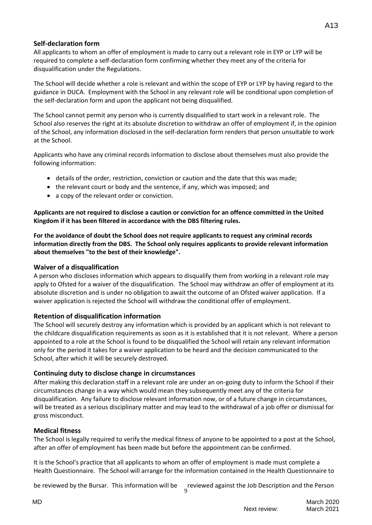# **Self-declaration form**

All applicants to whom an offer of employment is made to carry out a relevant role in EYP or LYP will be required to complete a self-declaration form confirming whether they meet any of the criteria for disqualification under the Regulations.

The School will decide whether a role is relevant and within the scope of EYP or LYP by having regard to the guidance in DUCA. Employment with the School in any relevant role will be conditional upon completion of the self-declaration form and upon the applicant not being disqualified.

The School cannot permit any person who is currently disqualified to start work in a relevant role. The School also reserves the right at its absolute discretion to withdraw an offer of employment if, in the opinion of the School, any information disclosed in the self-declaration form renders that person unsuitable to work at the School.

Applicants who have any criminal records information to disclose about themselves must also provide the following information:

- details of the order, restriction, conviction or caution and the date that this was made;
- the relevant court or body and the sentence, if any, which was imposed; and
- a copy of the relevant order or conviction.

**Applicants are not required to disclose a caution or conviction for an offence committed in the United Kingdom if it has been filtered in accordance with the DBS filtering rules.**

**For the avoidance of doubt the School does not require applicants to request any criminal records information directly from the DBS. The School only requires applicants to provide relevant information about themselves "to the best of their knowledge".**

#### **Waiver of a disqualification**

A person who discloses information which appears to disqualify them from working in a relevant role may apply to Ofsted for a waiver of the disqualification. The School may withdraw an offer of employment at its absolute discretion and is under no obligation to await the outcome of an Ofsted waiver application. If a waiver application is rejected the School will withdraw the conditional offer of employment.

## **Retention of disqualification information**

The School will securely destroy any information which is provided by an applicant which is not relevant to the childcare disqualification requirements as soon as it is established that it is not relevant. Where a person appointed to a role at the School is found to be disqualified the School will retain any relevant information only for the period it takes for a waiver application to be heard and the decision communicated to the School, after which it will be securely destroyed.

#### **Continuing duty to disclose change in circumstances**

After making this declaration staff in a relevant role are under an on-going duty to inform the School if their circumstances change in a way which would mean they subsequently meet any of the criteria for disqualification. Any failure to disclose relevant information now, or of a future change in circumstances, will be treated as a serious disciplinary matter and may lead to the withdrawal of a job offer or dismissal for gross misconduct.

#### **Medical fitness**

The School is legally required to verify the medical fitness of anyone to be appointed to a post at the School, after an offer of employment has been made but before the appointment can be confirmed.

It is the School's practice that all applicants to whom an offer of employment is made must complete a Health Questionnaire. The School will arrange for the information contained in the Health Questionnaire to

9

be reviewed by the Bursar. This information will be reviewed against the Job Description and the Person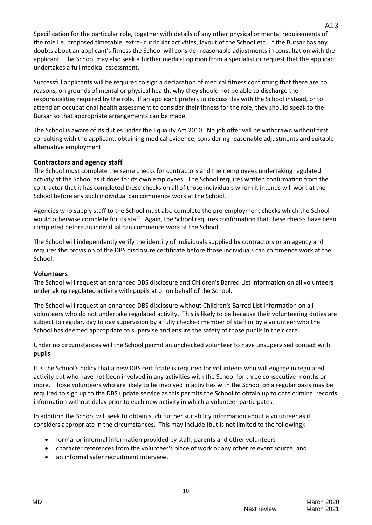Specification for the particular role, together with details of any other physical or mental requirements of the role i.e. proposed timetable, extra- curricular activities, layout of the School etc. If the Bursar has any doubts about an applicant's fitness the School will consider reasonable adjustments in consultation with the applicant. The School may also seek a further medical opinion from a specialist or request that the applicant undertakes a full medical assessment.

Successful applicants will be required to sign a declaration of medical fitness confirming that there are no reasons, on grounds of mental or physical health, why they should not be able to discharge the responsibilities required by the role. If an applicant prefers to discuss this with the School instead, or to attend an occupational health assessment to consider their fitness for the role, they should speak to the Bursar so that appropriate arrangements can be made.

The School is aware of its duties under the Equality Act 2010. No job offer will be withdrawn without first consulting with the applicant, obtaining medical evidence, considering reasonable adjustments and suitable alternative employment.

# **Contractors and agency staff**

The School must complete the same checks for contractors and their employees undertaking regulated activity at the School as it does for its own employees. The School requires written confirmation from the contractor that it has completed these checks on all of those individuals whom it intends will work at the School before any such individual can commence work at the School.

Agencies who supply staff to the School must also complete the pre-employment checks which the School would otherwise complete for its staff. Again, the School requires confirmation that these checks have been completed before an individual can commence work at the School.

The School will independently verify the identity of individuals supplied by contractors or an agency and requires the provision of the DBS disclosure certificate before those individuals can commence work at the School.

## **Volunteers**

The School will request an enhanced DBS disclosure and Children's Barred List information on all volunteers undertaking regulated activity with pupils at or on behalf of the School.

The School will request an enhanced DBS disclosure without Children's Barred List information on all volunteers who do not undertake regulated activity. This is likely to be because their volunteering duties are subject to regular, day to day supervision by a fully checked member of staff or by a volunteer who the School has deemed appropriate to supervise and ensure the safety of those pupils in their care.

Under no circumstances will the School permit an unchecked volunteer to have unsupervised contact with pupils.

It is the School's policy that a new DBS certificate is required for volunteers who will engage in regulated activity but who have not been involved in any activities with the School for three consecutive months or more. Those volunteers who are likely to be involved in activities with the School on a regular basis may be required to sign up to the DBS update service as this permits the School to obtain up to date criminal records information without delay prior to each new activity in which a volunteer participates.

In addition the School will seek to obtain such further suitability information about a volunteer as it considers appropriate in the circumstances. This may include (but is not limited to the following):

- formal or informal information provided by staff, parents and other volunteers
- character references from the volunteer's place of work or any other relevant source; and

10

an informal safer recruitment interview.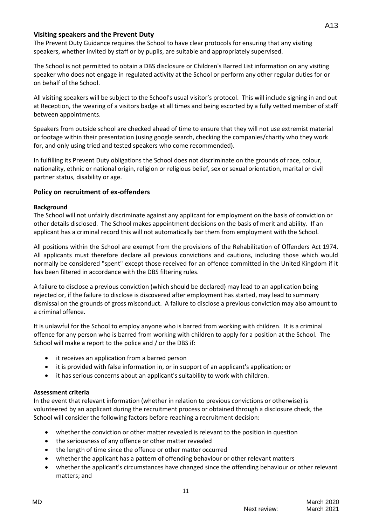## **Visiting speakers and the Prevent Duty**

The Prevent Duty Guidance requires the School to have clear protocols for ensuring that any visiting speakers, whether invited by staff or by pupils, are suitable and appropriately supervised.

The School is not permitted to obtain a DBS disclosure or Children's Barred List information on any visiting speaker who does not engage in regulated activity at the School or perform any other regular duties for or on behalf of the School.

All visiting speakers will be subject to the School's usual visitor's protocol. This will include signing in and out at Reception, the wearing of a visitors badge at all times and being escorted by a fully vetted member of staff between appointments.

Speakers from outside school are checked ahead of time to ensure that they will not use extremist material or footage within their presentation (using google search, checking the companies/charity who they work for, and only using tried and tested speakers who come recommended).

In fulfilling its Prevent Duty obligations the School does not discriminate on the grounds of race, colour, nationality, ethnic or national origin, religion or religious belief, sex or sexual orientation, marital or civil partner status, disability or age.

## **Policy on recruitment of ex-offenders**

## **Background**

The School will not unfairly discriminate against any applicant for employment on the basis of conviction or other details disclosed. The School makes appointment decisions on the basis of merit and ability. If an applicant has a criminal record this will not automatically bar them from employment with the School.

All positions within the School are exempt from the provisions of the Rehabilitation of Offenders Act 1974. All applicants must therefore declare all previous convictions and cautions, including those which would normally be considered "spent" except those received for an offence committed in the United Kingdom if it has been filtered in accordance with the DBS filtering rules.

A failure to disclose a previous conviction (which should be declared) may lead to an application being rejected or, if the failure to disclose is discovered after employment has started, may lead to summary dismissal on the grounds of gross misconduct. A failure to disclose a previous conviction may also amount to a criminal offence.

It is unlawful for the School to employ anyone who is barred from working with children. It is a criminal offence for any person who is barred from working with children to apply for a position at the School. The School will make a report to the police and / or the DBS if:

- it receives an application from a barred person
- it is provided with false information in, or in support of an applicant's application; or
- it has serious concerns about an applicant's suitability to work with children.

## **Assessment criteria**

In the event that relevant information (whether in relation to previous convictions or otherwise) is volunteered by an applicant during the recruitment process or obtained through a disclosure check, the School will consider the following factors before reaching a recruitment decision:

- whether the conviction or other matter revealed is relevant to the position in question
- the seriousness of any offence or other matter revealed
- the length of time since the offence or other matter occurred
- whether the applicant has a pattern of offending behaviour or other relevant matters
- whether the applicant's circumstances have changed since the offending behaviour or other relevant matters; and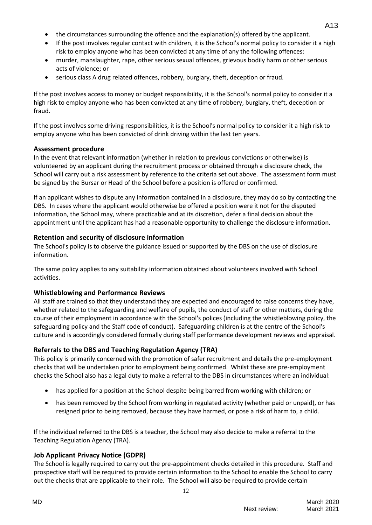- the circumstances surrounding the offence and the explanation(s) offered by the applicant.
- If the post involves regular contact with children, it is the School's normal policy to consider it a high risk to employ anyone who has been convicted at any time of any the following offences:
- murder, manslaughter, rape, other serious sexual offences, grievous bodily harm or other serious acts of violence; or
- serious class A drug related offences, robbery, burglary, theft, deception or fraud.

If the post involves access to money or budget responsibility, it is the School's normal policy to consider it a high risk to employ anyone who has been convicted at any time of robbery, burglary, theft, deception or fraud.

If the post involves some driving responsibilities, it is the School's normal policy to consider it a high risk to employ anyone who has been convicted of drink driving within the last ten years.

## **Assessment procedure**

In the event that relevant information (whether in relation to previous convictions or otherwise) is volunteered by an applicant during the recruitment process or obtained through a disclosure check, the School will carry out a risk assessment by reference to the criteria set out above. The assessment form must be signed by the Bursar or Head of the School before a position is offered or confirmed.

If an applicant wishes to dispute any information contained in a disclosure, they may do so by contacting the DBS. In cases where the applicant would otherwise be offered a position were it not for the disputed information, the School may, where practicable and at its discretion, defer a final decision about the appointment until the applicant has had a reasonable opportunity to challenge the disclosure information.

# **Retention and security of disclosure information**

The School's policy is to observe the guidance issued or supported by the DBS on the use of disclosure information.

The same policy applies to any suitability information obtained about volunteers involved with School activities.

# **Whistleblowing and Performance Reviews**

All staff are trained so that they understand they are expected and encouraged to raise concerns they have, whether related to the safeguarding and welfare of pupils, the conduct of staff or other matters, during the course of their employment in accordance with the School's polices (including the whistleblowing policy, the safeguarding policy and the Staff code of conduct). Safeguarding children is at the centre of the School's culture and is accordingly considered formally during staff performance development reviews and appraisal.

# **Referrals to the DBS and Teaching Regulation Agency (TRA)**

This policy is primarily concerned with the promotion of safer recruitment and details the pre-employment checks that will be undertaken prior to employment being confirmed. Whilst these are pre-employment checks the School also has a legal duty to make a referral to the DBS in circumstances where an individual:

- has applied for a position at the School despite being barred from working with children; or
- has been removed by the School from working in regulated activity (whether paid or unpaid), or has resigned prior to being removed, because they have harmed, or pose a risk of harm to, a child.

If the individual referred to the DBS is a teacher, the School may also decide to make a referral to the Teaching Regulation Agency (TRA).

# **Job Applicant Privacy Notice (GDPR)**

The School is legally required to carry out the pre-appointment checks detailed in this procedure. Staff and prospective staff will be required to provide certain information to the School to enable the School to carry out the checks that are applicable to their role. The School will also be required to provide certain

12

A13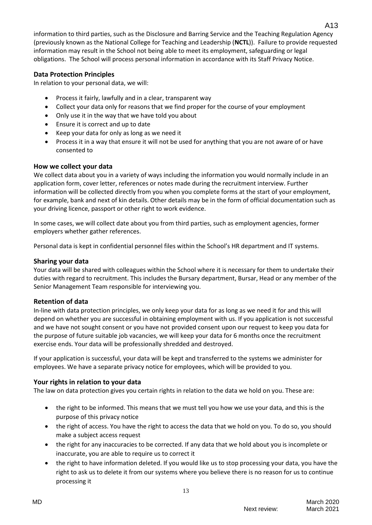information to third parties, such as the Disclosure and Barring Service and the Teaching Regulation Agency (previously known as the National College for Teaching and Leadership (**NCTL**)). Failure to provide requested information may result in the School not being able to meet its employment, safeguarding or legal obligations. The School will process personal information in accordance with its Staff Privacy Notice.

# **Data Protection Principles**

In relation to your personal data, we will:

- Process it fairly, lawfully and in a clear, transparent way
- Collect your data only for reasons that we find proper for the course of your employment
- Only use it in the way that we have told you about
- Ensure it is correct and up to date
- Keep your data for only as long as we need it
- Process it in a way that ensure it will not be used for anything that you are not aware of or have consented to

## **How we collect your data**

We collect data about you in a variety of ways including the information you would normally include in an application form, cover letter, references or notes made during the recruitment interview. Further information will be collected directly from you when you complete forms at the start of your employment, for example, bank and next of kin details. Other details may be in the form of official documentation such as your driving licence, passport or other right to work evidence.

In some cases, we will collect date about you from third parties, such as employment agencies, former employers whether gather references.

Personal data is kept in confidential personnel files within the School's HR department and IT systems.

### **Sharing your data**

Your data will be shared with colleagues within the School where it is necessary for them to undertake their duties with regard to recruitment. This includes the Bursary department, Bursar, Head or any member of the Senior Management Team responsible for interviewing you.

## **Retention of data**

In-line with data protection principles, we only keep your data for as long as we need it for and this will depend on whether you are successful in obtaining employment with us. If you application is not successful and we have not sought consent or you have not provided consent upon our request to keep you data for the purpose of future suitable job vacancies, we will keep your data for 6 months once the recruitment exercise ends. Your data will be professionally shredded and destroyed.

If your application is successful, your data will be kept and transferred to the systems we administer for employees. We have a separate privacy notice for employees, which will be provided to you.

## **Your rights in relation to your data**

The law on data protection gives you certain rights in relation to the data we hold on you. These are:

- the right to be informed. This means that we must tell you how we use your data, and this is the purpose of this privacy notice
- the right of access. You have the right to access the data that we hold on you. To do so, you should make a subject access request
- the right for any inaccuracies to be corrected. If any data that we hold about you is incomplete or inaccurate, you are able to require us to correct it
- the right to have information deleted. If you would like us to stop processing your data, you have the right to ask us to delete it from our systems where you believe there is no reason for us to continue processing it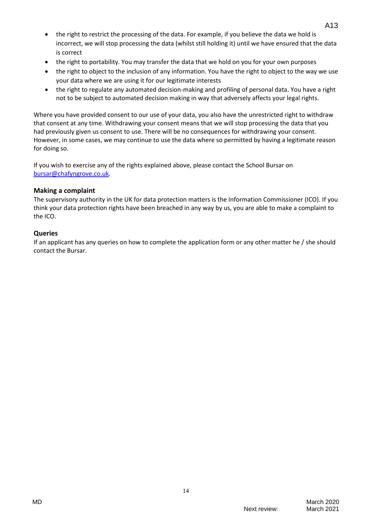- the right to restrict the processing of the data. For example, if you believe the data we hold is incorrect, we will stop processing the data (whilst still holding it) until we have ensured that the data is correct
- the right to portability. You may transfer the data that we hold on you for your own purposes
- the right to object to the inclusion of any information. You have the right to object to the way we use your data where we are using it for our legitimate interests
- the right to regulate any automated decision-making and profiling of personal data. You have a right not to be subject to automated decision making in way that adversely affects your legal rights.

Where you have provided consent to our use of your data, you also have the unrestricted right to withdraw that consent at any time. Withdrawing your consent means that we will stop processing the data that you had previously given us consent to use. There will be no consequences for withdrawing your consent. However, in some cases, we may continue to use the data where so permitted by having a legitimate reason for doing so.

If you wish to exercise any of the rights explained above, please contact the School Bursar on [bursar@chafyngrove.co.uk](mailto:bursar@chafyngrove.co.uk)*.*

## **Making a complaint**

The supervisory authority in the UK for data protection matters is the Information Commissioner (ICO). If you think your data protection rights have been breached in any way by us, you are able to make a complaint to the ICO.

## **Queries**

If an applicant has any queries on how to complete the application form or any other matter he / she should contact the Bursar.

14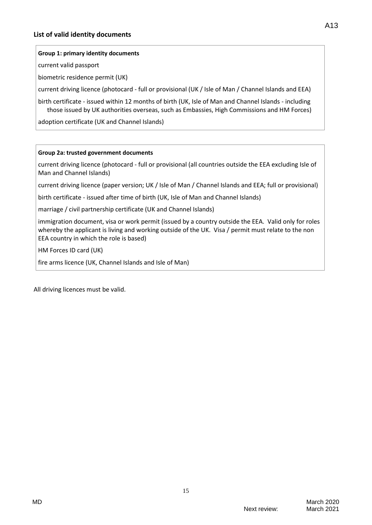### **Group 1: primary identity documents**

current valid passport

biometric residence permit (UK)

current driving licence (photocard - full or provisional (UK / Isle of Man / Channel Islands and EEA)

birth certificate - issued within 12 months of birth (UK, Isle of Man and Channel Islands - including those issued by UK authorities overseas, such as Embassies, High Commissions and HM Forces)

adoption certificate (UK and Channel Islands)

#### **Group 2a: trusted government documents**

current driving licence (photocard - full or provisional (all countries outside the EEA excluding Isle of Man and Channel Islands)

current driving licence (paper version; UK / Isle of Man / Channel Islands and EEA; full or provisional)

birth certificate - issued after time of birth (UK, Isle of Man and Channel Islands)

marriage / civil partnership certificate (UK and Channel Islands)

immigration document, visa or work permit (issued by a country outside the EEA. Valid only for roles whereby the applicant is living and working outside of the UK. Visa / permit must relate to the non EEA country in which the role is based)

15

HM Forces ID card (UK)

fire arms licence (UK, Channel Islands and Isle of Man)

All driving licences must be valid.